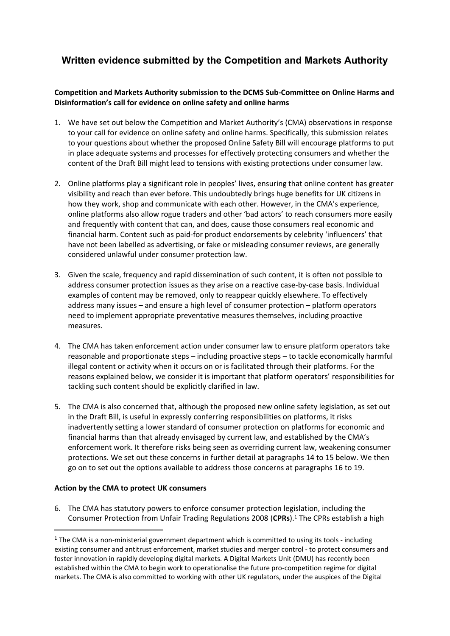# **Written evidence submitted by the Competition and Markets Authority**

## **Competition and Markets Authority submission to the DCMS Sub-Committee on Online Harms and Disinformation's call for evidence on online safety and online harms**

- 1. We have set out below the Competition and Market Authority's (CMA) observations in response to your call for evidence on online safety and online harms. Specifically, this submission relates to your questions about whether the proposed Online Safety Bill will encourage platforms to put in place adequate systems and processes for effectively protecting consumers and whether the content of the Draft Bill might lead to tensions with existing protections under consumer law.
- 2. Online platforms play a significant role in peoples' lives, ensuring that online content has greater visibility and reach than ever before. This undoubtedly brings huge benefits for UK citizens in how they work, shop and communicate with each other. However, in the CMA's experience, online platforms also allow rogue traders and other 'bad actors' to reach consumers more easily and frequently with content that can, and does, cause those consumers real economic and financial harm. Content such as paid-for product endorsements by celebrity 'influencers' that have not been labelled as advertising, or fake or misleading consumer reviews, are generally considered unlawful under consumer protection law.
- 3. Given the scale, frequency and rapid dissemination of such content, it is often not possible to address consumer protection issues as they arise on a reactive case-by-case basis. Individual examples of content may be removed, only to reappear quickly elsewhere. To effectively address many issues – and ensure a high level of consumer protection – platform operators need to implement appropriate preventative measures themselves, including proactive measures.
- 4. The CMA has taken enforcement action under consumer law to ensure platform operators take reasonable and proportionate steps – including proactive steps – to tackle economically harmful illegal content or activity when it occurs on or is facilitated through their platforms. For the reasons explained below, we consider it is important that platform operators' responsibilities for tackling such content should be explicitly clarified in law.
- 5. The CMA is also concerned that, although the proposed new online safety legislation, as set out in the Draft Bill, is useful in expressly conferring responsibilities on platforms, it risks inadvertently setting a lower standard of consumer protection on platforms for economic and financial harms than that already envisaged by current law, and established by the CMA's enforcement work. It therefore risks being seen as overriding current law, weakening consumer protections. We set out these concerns in further detail at paragraphs 14 to 15 below. We then go on to set out the options available to address those concerns at paragraphs 16 to 19.

#### **Action by the CMA to protect UK consumers**

6. The CMA has statutory powers to enforce consumer protection legislation, including the Consumer Protection from Unfair Trading Regulations 2008 (**CPRs**).<sup>1</sup> The CPRs establish a high

 $1$  The CMA is a non-ministerial government department which is committed to using its tools - including existing consumer and antitrust enforcement, market studies and merger control - to protect consumers and foster innovation in rapidly developing digital markets. A Digital Markets Unit (DMU) has recently been established within the CMA to begin work to operationalise the future pro-competition regime for digital markets. The CMA is also committed to working with other UK regulators, under the auspices of the [Digital](https://www.gov.uk/government/publications/digital-regulation-cooperation-forum-workplan-202122)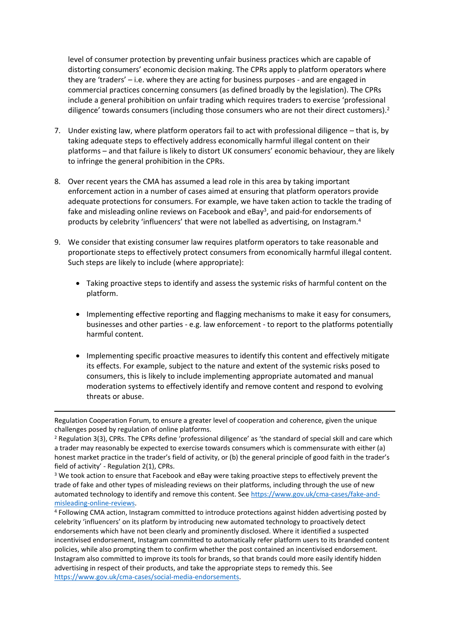level of consumer protection by preventing unfair business practices which are capable of distorting consumers' economic decision making. The CPRs apply to platform operators where they are 'traders' – i.e. where they are acting for business purposes - and are engaged in commercial practices concerning consumers (as defined broadly by the legislation). The CPRs include a general prohibition on unfair trading which requires traders to exercise 'professional diligence' towards consumers (including those consumers who are not their direct customers).<sup>2</sup>

- 7. Under existing law, where platform operators fail to act with professional diligence that is, by taking adequate steps to effectively address economically harmful illegal content on their platforms – and that failure is likely to distort UK consumers' economic behaviour, they are likely to infringe the general prohibition in the CPRs.
- 8. Over recent years the CMA has assumed a lead role in this area by taking important enforcement action in a number of cases aimed at ensuring that platform operators provide adequate protections for consumers. For example, we have taken action to tackle the trading of fake and misleading online reviews on Facebook and eBay<sup>3</sup>, and paid-for endorsements of products by celebrity 'influencers' that were not labelled as advertising, on Instagram.<sup>4</sup>
- 9. We consider that existing consumer law requires platform operators to take reasonable and proportionate steps to effectively protect consumers from economically harmful illegal content. Such steps are likely to include (where appropriate):
	- Taking proactive steps to identify and assess the systemic risks of harmful content on the platform.
	- Implementing effective reporting and flagging mechanisms to make it easy for consumers, businesses and other parties - e.g. law enforcement - to report to the platforms potentially harmful content.
	- Implementing specific proactive measures to identify this content and effectively mitigate its effects. For example, subject to the nature and extent of the systemic risks posed to consumers, this is likely to include implementing appropriate automated and manual moderation systems to effectively identify and remove content and respond to evolving threats or abuse.

[Regulation](https://www.gov.uk/government/publications/digital-regulation-cooperation-forum-workplan-202122) [Cooperation](https://www.gov.uk/government/publications/digital-regulation-cooperation-forum-workplan-202122) [Forum,](https://www.gov.uk/government/publications/digital-regulation-cooperation-forum-workplan-202122) to ensure a greater level of cooperation and coherence, given the unique challenges posed by regulation of online platforms.

<sup>2</sup> Regulation 3(3), CPRs. The CPRs define 'professional diligence' as 'the standard of special skill and care which a trader may reasonably be expected to exercise towards consumers which is commensurate with either (a) honest market practice in the trader's field of activity, or (b) the general principle of good faith in the trader's field of activity' - Regulation 2(1), CPRs.

<sup>3</sup> We took action to ensure that Facebook and eBay were taking proactive steps to effectively prevent the trade of fake and other types of misleading reviews on their platforms, including through the use of new automated technology to identify and remove this content. See [https://www.gov.uk/cma-cases/fake-and](https://www.gov.uk/cma-cases/fake-and-misleading-online-reviews)[misleading-online-reviews.](https://www.gov.uk/cma-cases/fake-and-misleading-online-reviews)

<sup>4</sup> Following CMA action, Instagram committed to introduce protections against hidden advertising posted by celebrity 'influencers' on its platform by introducing new automated technology to proactively detect endorsements which have not been clearly and prominently disclosed. Where it identified a suspected incentivised endorsement, Instagram committed to automatically refer platform users to its branded content policies, while also prompting them to confirm whether the post contained an incentivised endorsement. Instagram also committed to improve its tools for brands, so that brands could more easily identify hidden advertising in respect of their products, and take the appropriate steps to remedy this. See [https://www.gov.uk/cma-cases/social-media-endorsements.](https://www.gov.uk/cma-cases/social-media-endorsements)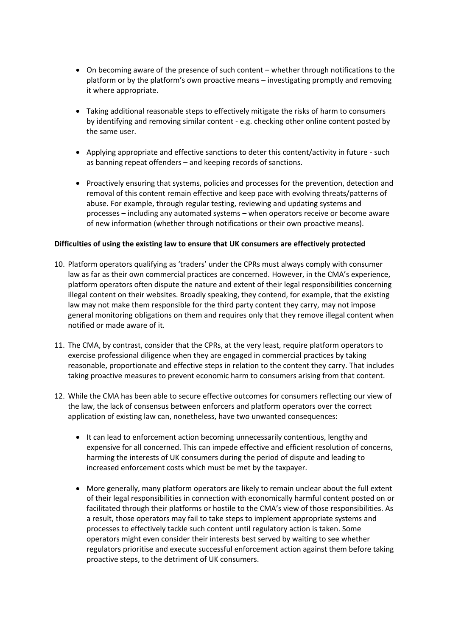- On becoming aware of the presence of such content whether through notifications to the platform or by the platform's own proactive means – investigating promptly and removing it where appropriate.
- Taking additional reasonable steps to effectively mitigate the risks of harm to consumers by identifying and removing similar content - e.g. checking other online content posted by the same user.
- Applying appropriate and effective sanctions to deter this content/activity in future such as banning repeat offenders – and keeping records of sanctions.
- Proactively ensuring that systems, policies and processes for the prevention, detection and removal of this content remain effective and keep pace with evolving threats/patterns of abuse. For example, through regular testing, reviewing and updating systems and processes – including any automated systems – when operators receive or become aware of new information (whether through notifications or their own proactive means).

#### **Difficulties of using the existing law to ensure that UK consumers are effectively protected**

- 10. Platform operators qualifying as 'traders' under the CPRs must always comply with consumer law as far as their own commercial practices are concerned. However, in the CMA's experience, platform operators often dispute the nature and extent of their legal responsibilities concerning illegal content on their websites. Broadly speaking, they contend, for example, that the existing law may not make them responsible for the third party content they carry, may not impose general monitoring obligations on them and requires only that they remove illegal content when notified or made aware of it.
- 11. The CMA, by contrast, consider that the CPRs, at the very least, require platform operators to exercise professional diligence when they are engaged in commercial practices by taking reasonable, proportionate and effective steps in relation to the content they carry. That includes taking proactive measures to prevent economic harm to consumers arising from that content.
- 12. While the CMA has been able to secure effective outcomes for consumers reflecting our view of the law, the lack of consensus between enforcers and platform operators over the correct application of existing law can, nonetheless, have two unwanted consequences:
	- It can lead to enforcement action becoming unnecessarily contentious, lengthy and expensive for all concerned. This can impede effective and efficient resolution of concerns, harming the interests of UK consumers during the period of dispute and leading to increased enforcement costs which must be met by the taxpayer.
	- More generally, many platform operators are likely to remain unclear about the full extent of their legal responsibilities in connection with economically harmful content posted on or facilitated through their platforms or hostile to the CMA's view of those responsibilities. As a result, those operators may fail to take steps to implement appropriate systems and processes to effectively tackle such content until regulatory action is taken. Some operators might even consider their interests best served by waiting to see whether regulators prioritise and execute successful enforcement action against them before taking proactive steps, to the detriment of UK consumers.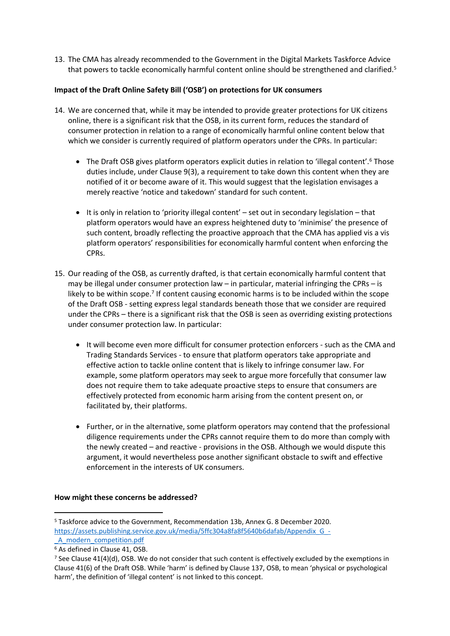13. The CMA has already recommended to the Government in the Digital Markets Taskforce Advice that powers to tackle economically harmful content online should be strengthened and clarified.<sup>5</sup>

## **Impact of the Draft Online Safety Bill ('OSB') on protections for UK consumers**

- 14. We are concerned that, while it may be intended to provide greater protections for UK citizens online, there is a significant risk that the OSB, in its current form, reduces the standard of consumer protection in relation to a range of economically harmful online content below that which we consider is currently required of platform operators under the CPRs. In particular:
	- The Draft OSB gives platform operators explicit duties in relation to 'illegal content'.<sup>6</sup> Those duties include, under Clause 9(3), a requirement to take down this content when they are notified of it or become aware of it. This would suggest that the legislation envisages a merely reactive 'notice and takedown' standard for such content.
	- $\bullet$  It is only in relation to 'priority illegal content' set out in secondary legislation that platform operators would have an express heightened duty to 'minimise' the presence of such content, broadly reflecting the proactive approach that the CMA has applied vis a vis platform operators' responsibilities for economically harmful content when enforcing the CPRs.
- 15. Our reading of the OSB, as currently drafted, is that certain economically harmful content that may be illegal under consumer protection law – in particular, material infringing the CPRs – is likely to be within scope.<sup>7</sup> If content causing economic harms is to be included within the scope of the Draft OSB - setting express legal standards beneath those that we consider are required under the CPRs – there is a significant risk that the OSB is seen as overriding existing protections under consumer protection law. In particular:
	- It will become even more difficult for consumer protection enforcers such as the CMA and Trading Standards Services - to ensure that platform operators take appropriate and effective action to tackle online content that is likely to infringe consumer law. For example, some platform operators may seek to argue more forcefully that consumer law does not require them to take adequate proactive steps to ensure that consumers are effectively protected from economic harm arising from the content present on, or facilitated by, their platforms.
	- Further, or in the alternative, some platform operators may contend that the professional diligence requirements under the CPRs cannot require them to do more than comply with the newly created – and reactive - provisions in the OSB. Although we would dispute this argument, it would nevertheless pose another significant obstacle to swift and effective enforcement in the interests of UK consumers.

#### **How might these concerns be addressed?**

<sup>5</sup> Taskforce advice to the Government, Recommendation 13b, Annex G. 8 December 2020. [https://assets.publishing.service.gov.uk/media/5ffc304a8fa8f5640b6dafab/Appendix\\_G\\_-](https://assets.publishing.service.gov.uk/media/5ffc304a8fa8f5640b6dafab/Appendix_G_-_A_modern_competition.pdf) [\\_A\\_modern\\_competition.pdf](https://assets.publishing.service.gov.uk/media/5ffc304a8fa8f5640b6dafab/Appendix_G_-_A_modern_competition.pdf)

<sup>6</sup> As defined in Clause 41, OSB.

<sup>&</sup>lt;sup>7</sup> See Clause 41(4)(d), OSB. We do not consider that such content is effectively excluded by the exemptions in Clause 41(6) of the Draft OSB. While 'harm' is defined by Clause 137, OSB, to mean 'physical or psychological harm', the definition of 'illegal content' is not linked to this concept.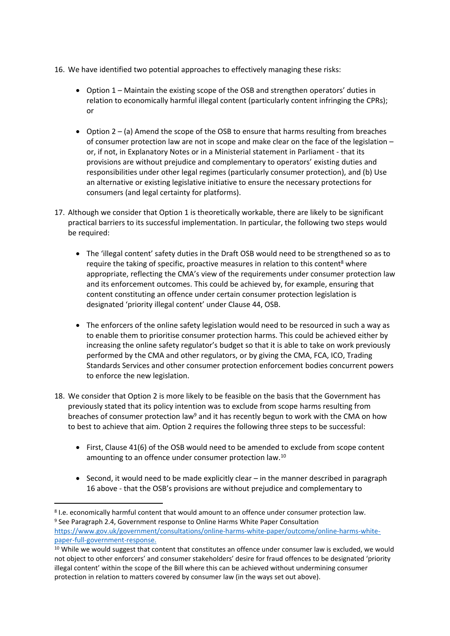- 16. We have identified two potential approaches to effectively managing these risks:
	- Option 1 Maintain the existing scope of the OSB and strengthen operators' duties in relation to economically harmful illegal content (particularly content infringing the CPRs); or
	- Option  $2 (a)$  Amend the scope of the OSB to ensure that harms resulting from breaches of consumer protection law are not in scope and make clear on the face of the legislation – or, if not, in Explanatory Notes or in a Ministerial statement in Parliament - that its provisions are without prejudice and complementary to operators' existing duties and responsibilities under other legal regimes (particularly consumer protection), and (b) Use an alternative or existing legislative initiative to ensure the necessary protections for consumers (and legal certainty for platforms).
- 17. Although we consider that Option 1 is theoretically workable, there are likely to be significant practical barriers to its successful implementation. In particular, the following two steps would be required:
	- The 'illegal content' safety duties in the Draft OSB would need to be strengthened so as to require the taking of specific, proactive measures in relation to this content<sup>8</sup> where appropriate, reflecting the CMA's view of the requirements under consumer protection law and its enforcement outcomes. This could be achieved by, for example, ensuring that content constituting an offence under certain consumer protection legislation is designated 'priority illegal content' under Clause 44, OSB.
	- The enforcers of the online safety legislation would need to be resourced in such a way as to enable them to prioritise consumer protection harms. This could be achieved either by increasing the online safety regulator's budget so that it is able to take on work previously performed by the CMA and other regulators, or by giving the CMA, FCA, ICO, Trading Standards Services and other consumer protection enforcement bodies concurrent powers to enforce the new legislation.
- 18. We consider that Option 2 is more likely to be feasible on the basis that the Government has previously stated that its policy intention was to exclude from scope harms resulting from breaches of consumer protection law<sup>9</sup> and it has recently begun to work with the CMA on how to best to achieve that aim. Option 2 requires the following three steps to be successful:
	- $\bullet$  First, Clause 41(6) of the OSB would need to be amended to exclude from scope content amounting to an offence under consumer protection law.<sup>10</sup>
	- Second, it would need to be made explicitly clear in the manner described in paragraph 16 above - that the OSB's provisions are without prejudice and complementary to

<sup>8</sup> I.e. economically harmful content that would amount to an offence under consumer protection law. <sup>9</sup> See Paragraph 2.4, Government response to Online Harms White Paper Consultation [https://www.gov.uk/government/consultations/online-harms-white-paper/outcome/online-harms-white](https://www.gov.uk/government/consultations/online-harms-white-paper/outcome/online-harms-white-paper-full-government-response)[paper-full-government-response.](https://www.gov.uk/government/consultations/online-harms-white-paper/outcome/online-harms-white-paper-full-government-response)

<sup>&</sup>lt;sup>10</sup> While we would suggest that content that constitutes an offence under consumer law is excluded, we would not object to other enforcers' and consumer stakeholders' desire for fraud offences to be designated 'priority illegal content' within the scope of the Bill where this can be achieved without undermining consumer protection in relation to matters covered by consumer law (in the ways set out above).